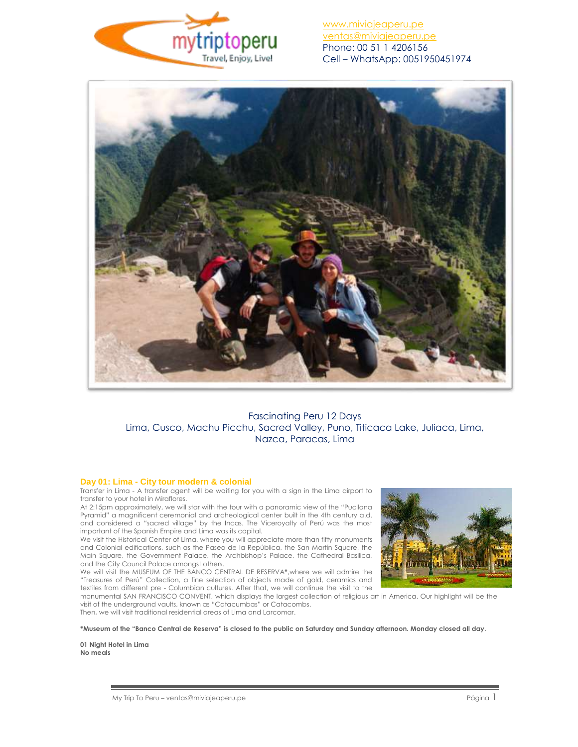



Fascinating Peru 12 Days Lima, Cusco, Machu Picchu, Sacred Valley, Puno, Titicaca Lake, Juliaca, Lima, Nazca, Paracas, Lima

### **Day 01: Lima - City tour modern & colonial**

Transfer in Lima - A transfer agent will be waiting for you with a sign in the Lima airport to transfer to your hotel in Miraflores.

At 2:15pm approximately, we will star with the tour with a panoramic view of the "Pucllana Pyramid" a magnificent ceremonial and archeological center built in the 4th century a.d. and considered a "sacred village" by the Incas. The Viceroyalty of Perú was the most important of the Spanish Empire and Lima was its capital.

We visit the Historical Center of Lima, where you will appreciate more than fifty monuments and Colonial edifications, such as the Paseo de la República, the San Martín Square, the Main Square, the Government Palace, the Archbishop's Palace, the Cathedral Basilica, and the City Council Palace amongst others.

We will visit the MUSEUM OF THE BANCO CENTRAL DE RESERVA**\***,where we will admire the "Treasures of Perú" Collection, a fine selection of objects made of gold, ceramics and textiles from different pre - Columbian cultures. After that, we will continue the visit to the



monumental SAN FRANCISCO CONVENT, which displays the largest collection of religious art in America. Our highlight will be the visit of the underground vaults, known as "Catacumbas" or Catacombs.

Then, we will visit traditional residential areas of Lima and Larcomar.

**\*Museum of the "Banco Central de Reserva" is closed to the public on Saturday and Sunday afternoon. Monday closed all day.**

**01 Night Hotel in Lima No meals**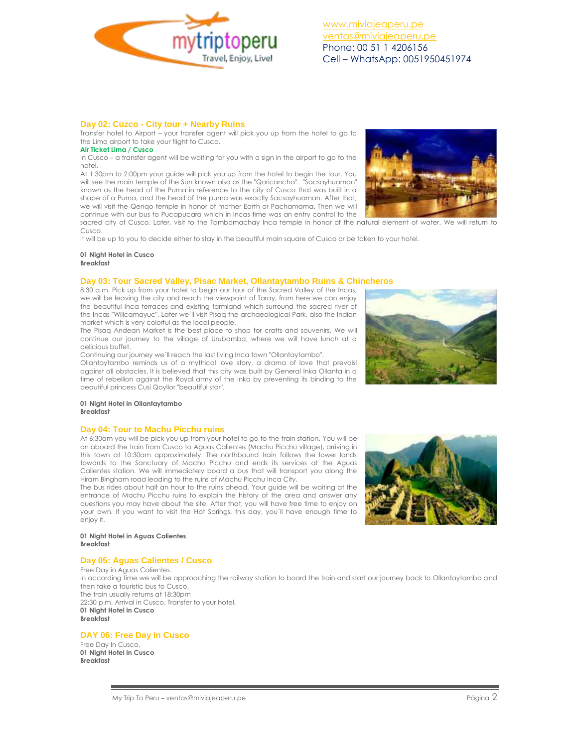

### **Day 02: Cuzco - City tour + Nearby Ruins**

Transfer hotel to Airport – your transfer agent will pick you up from the hotel to go to the Lima airport to take your flight to Cusco.

**Air Ticket Lima / Cusco** 

In Cusco – a transfer agent will be waiting for you with a sign in the airport to go to the hotel.

At 1:30pm to 2:00pm your guide will pick you up from the hotel to begin the tour. You will see the main temple of the Sun known also as the "Qoricancha". "Sacsayhuaman" known as the head of the Puma in reference to the city of Cusco that was built in a shape of a Puma, and the head of the puma was exactly Sacsayhuaman. After that, we will visit the Qenqo temple in honor of mother Earth or Pachamama. Then we will continue with our bus to Pucapucara which in Incas time was an entry control to the



It will be up to you to decide either to stay in the beautiful main square of Cusco or be taken to your hotel.

#### **01 Night Hotel in Cusco Breakfast**

### **Day 03: Tour Sacred Valley, Pisac Market, Ollantaytambo Ruins & Chincheros**

8:30 a.m. Pick up from your hotel to begin our tour of the Sacred Valley of the Incas, we will be leaving the city and reach the viewpoint of Taray, from here we can enjoy the beautiful Inca terraces and existing farmland which surround the sacred river of the Incas "Willcamayuc". Later we´ll visit Pisaq the archaeological Park, also the Indian market which is very colorful as the local people.

The Pisaq Andean Market is the best place to shop for crafts and souvenirs. We will continue our journey to the village of Urubamba, where we will have lunch at a delicious buffet.

Continuing our journey we´ll reach the last living Inca town "Ollantaytambo".

Ollantaytambo reminds us of a mythical love story, a drama of love that prevaisl against all obstacles. It is believed that this city was built by General Inka Ollanta in a time of rebellion against the Royal army of the Inka by preventing its binding to the beautiful princess Cusi Qoyllor "beautiful star".

## **01 Night Hotel in Ollantaytambo**

**Breakfast**

### **Day 04: Tour to Machu Picchu ruins**

At 6:30am you will be pick you up from your hotel to go to the train station. You will be on aboard the train from Cusco to Aguas Calientes (Machu Picchu village), arriving in this town at 10:30am approximately. The northbound train follows the lower lands towards to the Sanctuary of Machu Picchu and ends its services at the Aguas Calientes station. We will immediately board a bus that will transport you along the Hiram Bingham road leading to the ruins of Machu Picchu Inca City.

The bus rides about half an hour to the ruins ahead. Your guide will be waiting at the entrance of Machu Picchu ruins to explain the history of the area and answer any questions you may have about the site. After that, you will have free time to enjoy on your own. If you want to visit the Hot Springs, this day, you´ll have enough time to enjoy it.

#### **01 Night Hotel in Aguas Calientes Breakfast**

### **Day 05: Aguas Calientes / Cusco**

Free Day in Aguas Calientes. In according time we will be approaching the railway station to board the train and start our journey back to Ollantaytambo and then take a touristic bus to Cusco. The train usually returns at 18:30pm 22:30 p.m. Arrival in Cusco. Transfer to your hotel. **01 Night Hotel in Cusco Breakfast**

### **DAY 06: Free Day in Cusco**

Free Day In Cusco. **01 Night Hotel in Cusco Breakfast**



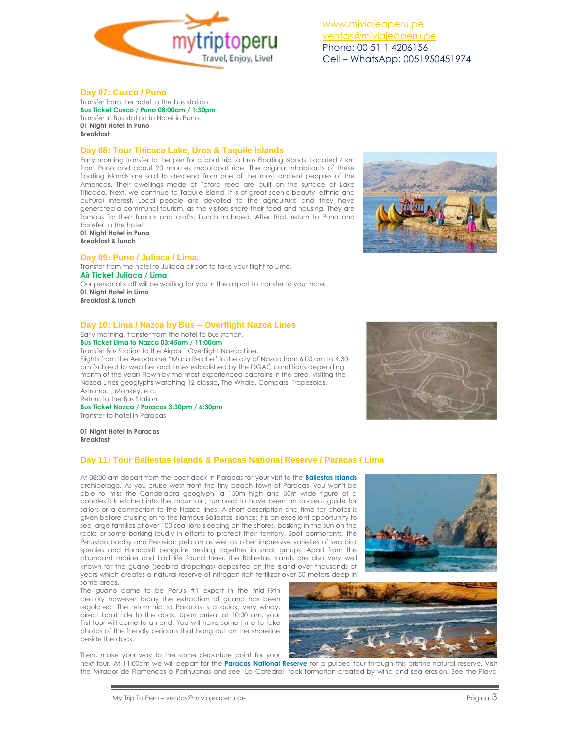

### **Day 07: Cuzco / Puno**

Transfer from the hotel to the bus station **Bus Ticket Cusco / Puno 08:00am / 1:30pm** Transfer in Bus station to Hotel in Puno **01 Night Hotel in Puno Breakfast**

## **Day 08: Tour Titicaca Lake, Uros & Taquile Islands**

Early morning transfer to the pier for a boat trip to Uros Floating Islands. Located 4 km from Puno and about 20 minutes motorboat ride. The original inhabitants of these floating islands are said to descend from one of the most ancient peoples of the Americas. Their dwellings made of Totora reed are built on the surface of Lake Titicaca. Next, we continue to Taquile Island. It is of great scenic beauty, ethnic and cultural interest. Local people are devoted to the agriculture and they have generated a communal tourism, as the visitors share their food and housing. They are famous for their fabrics and crafts. Lunch included. After that, return to Puno and transfer to the hotel.

**01 Night Hotel in Puno Breakfast & lunch**

# **Day 09: Puno / Juliaca / Lima.**

### Transfer from the hotel to Juliaca airport to take your flight to Lima. **Air Ticket Juliaca / Lima**

Our personal staff will be waiting for you in the airport to transfer to your hotel. **01 Night Hotel in Lima Breakfast & lunch**

### **Day 10: Lima / Nazca by Bus – Overflight Nazca Lines**

Early morning, transfer from the hotel to bus station.

## **Bus Ticket Lima to Nazca 03:45am / 11:00am**

Transfer Bus Station to the Airport. Overflight Nazca Line.

Flights from the Aerodrome "Maria Reiche" in the city of Nazca from 6:00 am to 4:30 pm (subject to weather and times established by the DGAC conditions depending month of the year) Flown by the most experienced captains in the area, visiting the Nazca Lines geoglyphs watching 12 classic, The Whale, Compass, Trapezoids, Astronaut, Monkey, etc.

Return to the Bus Station.

**Breakfast**

**Bus Ticket Nazca / Paracas 3:30pm / 6:30pm** Transfer to hotel in Paracas





**01 Night Hotel in Paracas Day 11: Tour Ballestas Islands & Paracas National Reserve / Paracas / Lima**

At 08:00 am depart from the boat dock in Paracas for your visit to the **Ballestas Islands** archipelago. As you cruise west from the tiny beach town of Paracas, you won't be able to miss the Candelabra geoglyph, a 150m high and 50m wide figure of a candlestick etched into the mountain, rumored to have been an ancient guide for sailors or a connection to the Nazca lines. A short description and time for photos is given before cruising on to the famous Ballestas Islands; it is an excellent opportunity to see large families of over 100 sea lions sleeping on the shores, basking in the sun on the rocks or some barking loudly in efforts to protect their territory. Spot cormorants, the Peruvian booby and Peruvian pelican as well as other impressive varieties of sea bird species and Humboldt penguins nesting together in small groups. Apart from the abundant marine and bird life found here, the Ballestas Islands are also very well known for the guano (seabird droppings) deposited on the island over thousands of years which creates a natural reserve of nitrogen-rich fertilizer over 50 meters deep in some areas.

The guano came to be Peru's #1 export in the mid-19th century however today the extraction of guano has been regulated. The return trip to Paracas is a quick, very windy, direct boat ride to the dock. Upon arrival at 10:00 am, your first tour will come to an end. You will have some time to take photos of the friendly pelicans that hang out on the shoreline beside the dock.

Then, make your way to the same departure point for your next tour. At 11:00am we will depart for the **Paracas National Reserve** for a guided tour through this pristine natural reserve. Visit the Mirador de Flamencos o Parihuanas and see 'La Catedral' rock formation created by wind and sea erosion. See the Playa



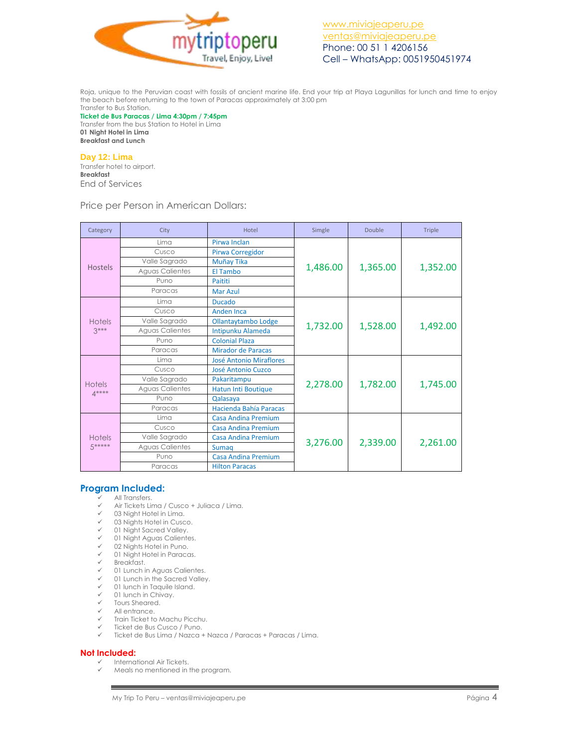

Roja, unique to the Peruvian coast with fossils of ancient marine life. End your trip at Playa Lagunillas for lunch and time to enjoy the beach before returning to the town of Paracas approximately at 3:00 pm Transfer to Bus Station.

**Ticket de Bus Paracas / Lima 4:30pm / 7:45pm** Transfer from the bus Station to Hotel in Lima **01 Night Hotel in Lima Breakfast and Lunch**

**Day 12: Lima**

Transfer hotel to airport. **Breakfast** End of Services

Price per Person in American Dollars:

| Category                | City                   | Hotel                          | Simgle   | Double   | Triple   |
|-------------------------|------------------------|--------------------------------|----------|----------|----------|
| <b>Hostels</b>          | Lima                   | Pirwa Inclan                   | 1,486.00 | 1,365.00 | 1,352.00 |
|                         | Cusco                  | <b>Pirwa Corregidor</b>        |          |          |          |
|                         | Valle Sagrado          | Muñay Tika                     |          |          |          |
|                         | <b>Aguas Calientes</b> | El Tambo                       |          |          |          |
|                         | Puno                   | Paititi                        |          |          |          |
|                         | Paracas                | Mar Azul                       |          |          |          |
| <b>Hotels</b><br>$3***$ | Lima                   | <b>Ducado</b>                  | 1,732.00 | 1,528.00 | 1,492.00 |
|                         | Cusco                  | <b>Anden Inca</b>              |          |          |          |
|                         | Valle Sagrado          | Ollantaytambo Lodge            |          |          |          |
|                         | <b>Aguas Calientes</b> | Intipunku Alameda              |          |          |          |
|                         | Puno                   | <b>Colonial Plaza</b>          |          |          |          |
|                         | Paracas                | Mirador de Paracas             |          |          |          |
|                         | Lima                   | <b>José Antonio Miraflores</b> | 2,278.00 | 1,782.00 | 1,745.00 |
|                         | Cusco                  | José Antonio Cuzco             |          |          |          |
|                         | Valle Sagrado          | Pakaritampu                    |          |          |          |
| <b>Hotels</b><br>$A***$ | <b>Aguas Calientes</b> | Hatun Inti Boutique            |          |          |          |
|                         | Puno                   | Qalasaya                       |          |          |          |
|                         | Paracas                | Hacienda Bahía Paracas         |          |          |          |
| <b>Hotels</b><br>5***** | Lima                   | <b>Casa Andina Premium</b>     | 3,276.00 | 2,339.00 | 2,261.00 |
|                         | Cusco                  | <b>Casa Andina Premium</b>     |          |          |          |
|                         | Valle Sagrado          | <b>Casa Andina Premium</b>     |          |          |          |
|                         | Aguas Calientes        | <b>Sumag</b>                   |          |          |          |
|                         | Puno                   | <b>Casa Andina Premium</b>     |          |          |          |
|                         | Paracas                | <b>Hilton Paracas</b>          |          |          |          |

# **Program Included:**

- All Transfers.
- Air Tickets Lima / Cusco + Juliaca / Lima.
- 03 Night Hotel in Lima.
- 03 Nights Hotel in Cusco.
- 01 Night Sacred Valley.
- 01 Night Aguas Calientes. 02 Nights Hotel in Puno.
- 01 Night Hotel in Paracas.
- $\checkmark$  Breakfast.
- 01 Lunch in Aguas Calientes.
- 01 Lunch in the Sacred Valley.
- 01 lunch in Taquile Island.
- 01 lunch in Chivay.
- Tours Sheared.
- All entrance.
- Train Ticket to Machu Picchu.
- Ticket de Bus Cusco / Puno.
- Ticket de Bus Lima / Nazca + Nazca / Paracas + Paracas / Lima.

## **Not Included:**

- International Air Tickets.
	- Meals no mentioned in the program.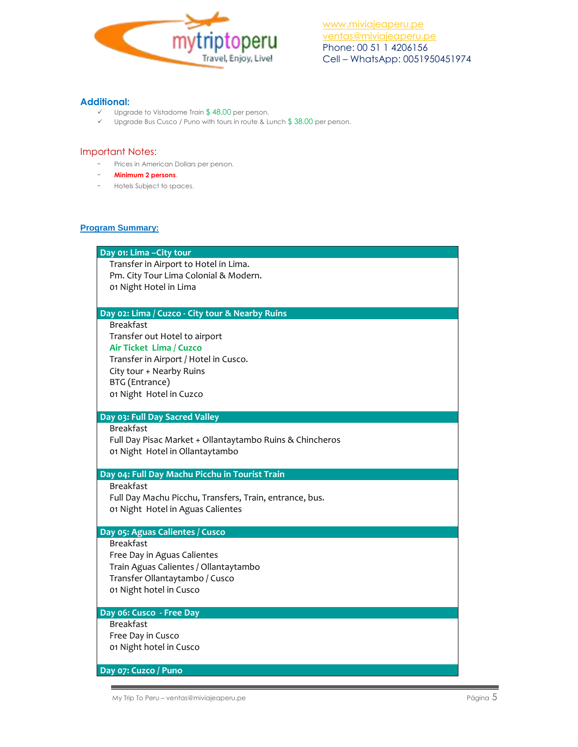

# **Additional:**

- $\checkmark$  Upgrade to Vistadome Train \$48.00 per person.
- $\checkmark$  Upgrade Bus Cusco / Puno with tours in route & Lunch \$38.00 per person.

# Important Notes:

- Prices in American Dollars per person.
- **Minimum 2 persons**.
- Hotels Subject to spaces.

# **Program Summary:**

# **Day 01: Lima –City tour**

Transfer in Airport to Hotel in Lima. Pm. City Tour Lima Colonial & Modern. 01 Night Hotel in Lima

## **Day 02: Lima / Cuzco - City tour & Nearby Ruins**

Breakfast Transfer out Hotel to airport **Air Ticket Lima / Cuzco** Transfer in Airport / Hotel in Cusco. City tour + Nearby Ruins BTG (Entrance) 01 Night Hotel in Cuzco

# **Day 03: Full Day Sacred Valley**

Breakfast

Full Day Pisac Market + Ollantaytambo Ruins & Chincheros 01 Night Hotel in Ollantaytambo

## **Day 04: Full Day Machu Picchu in Tourist Train**

Breakfast

Full Day Machu Picchu, Transfers, Train, entrance, bus. 01 Night Hotel in Aguas Calientes

## **Day 05: Aguas Calientes / Cusco**

Breakfast Free Day in Aguas Calientes Train Aguas Calientes / Ollantaytambo Transfer Ollantaytambo / Cusco 01 Night hotel in Cusco

## **Day 06: Cusco - Free Day**

Breakfast Free Day in Cusco 01 Night hotel in Cusco

## **Day 07: Cuzco / Puno**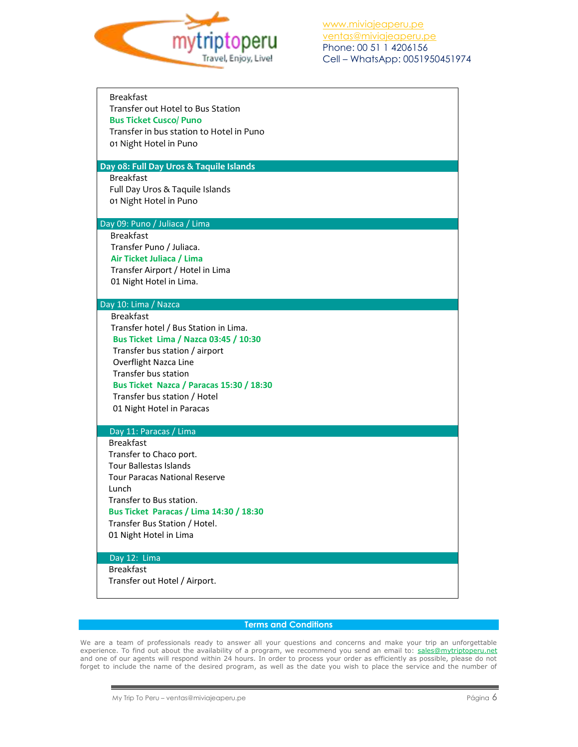

| <b>Breakfast</b><br>Transfer out Hotel to Bus Station<br><b>Bus Ticket Cusco/ Puno</b><br>Transfer in bus station to Hotel in Puno<br>01 Night Hotel in Puno |  |
|--------------------------------------------------------------------------------------------------------------------------------------------------------------|--|
| Day 08: Full Day Uros & Taquile Islands                                                                                                                      |  |
| <b>Breakfast</b>                                                                                                                                             |  |
| Full Day Uros & Taquile Islands                                                                                                                              |  |
| 01 Night Hotel in Puno                                                                                                                                       |  |
| Day 09: Puno / Juliaca / Lima                                                                                                                                |  |
| <b>Breakfast</b>                                                                                                                                             |  |
| Transfer Puno / Juliaca.                                                                                                                                     |  |
| Air Ticket Juliaca / Lima                                                                                                                                    |  |
| Transfer Airport / Hotel in Lima                                                                                                                             |  |
| 01 Night Hotel in Lima.                                                                                                                                      |  |
|                                                                                                                                                              |  |
| Day 10: Lima / Nazca                                                                                                                                         |  |
| <b>Breakfast</b>                                                                                                                                             |  |
| Transfer hotel / Bus Station in Lima.                                                                                                                        |  |
| Bus Ticket Lima / Nazca 03:45 / 10:30                                                                                                                        |  |
| Transfer bus station / airport                                                                                                                               |  |
| Overflight Nazca Line                                                                                                                                        |  |
| Transfer bus station                                                                                                                                         |  |
| Bus Ticket Nazca / Paracas 15:30 / 18:30                                                                                                                     |  |
| Transfer bus station / Hotel                                                                                                                                 |  |
| 01 Night Hotel in Paracas                                                                                                                                    |  |
|                                                                                                                                                              |  |
| Day 11: Paracas / Lima                                                                                                                                       |  |
| <b>Breakfast</b>                                                                                                                                             |  |
| Transfer to Chaco port.                                                                                                                                      |  |
| <b>Tour Ballestas Islands</b>                                                                                                                                |  |
| <b>Tour Paracas National Reserve</b>                                                                                                                         |  |
| Lunch                                                                                                                                                        |  |
| Transfer to Bus station.                                                                                                                                     |  |
| <b>Bus Ticket Paracas / Lima 14:30 / 18:30</b>                                                                                                               |  |
| Transfer Bus Station / Hotel.                                                                                                                                |  |
| 01 Night Hotel in Lima                                                                                                                                       |  |
|                                                                                                                                                              |  |
| Day 12: Lima                                                                                                                                                 |  |
| <b>Breakfast</b>                                                                                                                                             |  |
| Transfer out Hotel / Airport.                                                                                                                                |  |
|                                                                                                                                                              |  |

# **Terms and Conditions**

We are a team of professionals ready to answer all your questions and concerns and make your trip an unforgettable experience. To find out about the availability of a program, we recommend you send an email to: sales@mytriptoperu.net and one of our agents will respond within 24 hours. In order to process your order as efficiently as possible, please do not forget to include the name of the desired program, as well as the date you wish to place the service and the number of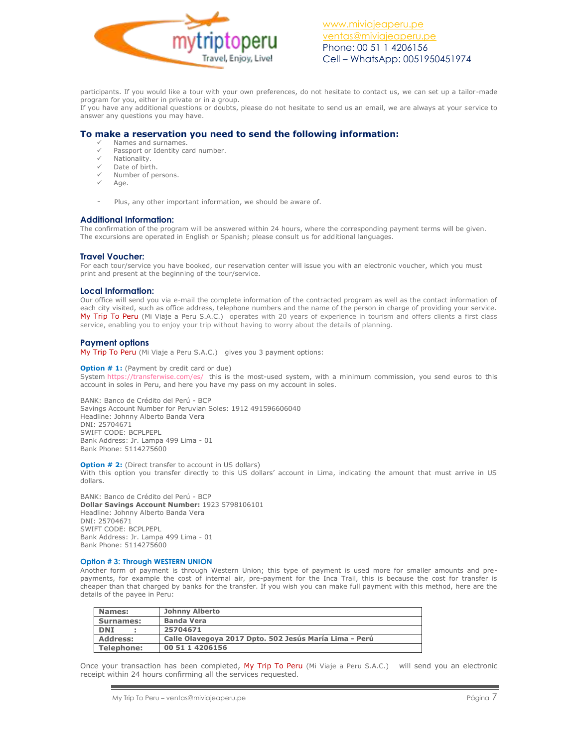

participants. If you would like a tour with your own preferences, do not hesitate to contact us, we can set up a tailor-made program for you, either in private or in a group.

If you have any additional questions or doubts, please do not hesitate to send us an email, we are always at your service to answer any questions you may have.

## **To make a reservation you need to send the following information:**

- $\checkmark$  Names and surnames.<br> $\checkmark$  Description Identity can
- Passport or Identity card number.
- $\checkmark$  Nationality.
- Date of birth.
- Number of persons.
- Age.
- Plus, any other important information, we should be aware of.

### **Additional Information:**

The confirmation of the program will be answered within 24 hours, where the corresponding payment terms will be given. The excursions are operated in English or Spanish; please consult us for additional languages.

### **Travel Voucher:**

For each tour/service you have booked, our reservation center will issue you with an electronic voucher, which you must print and present at the beginning of the tour/service.

### **Local Information:**

Our office will send you via e-mail the complete information of the contracted program as well as the contact information of each city visited, such as office address, telephone numbers and the name of the person in charge of providing your service. My Trip To Peru (Mi Viaje a Peru S.A.C.) operates with 20 years of experience in tourism and offers clients a first class service, enabling you to enjoy your trip without having to worry about the details of planning.

### **Payment options**

My Trip To Peru (Mi Viaje a Peru S.A.C.) gives you 3 payment options:

**Option # 1:** (Payment by credit card or due) System <https://transferwise.com/es/> this is the most-used system, with a minimum commission, you send euros to this account in soles in Peru, and here you have my pass on my account in soles.

BANK: Banco de Crédito del Perú - BCP Savings Account Number for Peruvian Soles: 1912 491596606040 Headline: Johnny Alberto Banda Vera DNI: 25704671 SWIFT CODE: BCPLPEPL Bank Address: Jr. Lampa 499 Lima - 01 Bank Phone: 5114275600

**Option # 2:** (Direct transfer to account in US dollars) With this option you transfer directly to this US dollars' account in Lima, indicating the amount that must arrive in US dollars.

BANK: Banco de Crédito del Perú - BCP **Dollar Savings Account Number:** 1923 5798106101 Headline: Johnny Alberto Banda Vera DNI: 25704671 SWIFT CODE: BCPLPEPL Bank Address: Jr. Lampa 499 Lima - 01 Bank Phone: 5114275600

#### **Option # 3: Through WESTERN UNION**

Another form of payment is through Western Union; this type of payment is used more for smaller amounts and prepayments, for example the cost of internal air, pre-payment for the Inca Trail, this is because the cost for transfer is cheaper than that charged by banks for the transfer. If you wish you can make full payment with this method, here are the details of the payee in Peru:

| Names:          | <b>Johnny Alberto</b>                                  |
|-----------------|--------------------------------------------------------|
| Surnames:       | <b>Banda Vera</b>                                      |
| <b>DNI</b>      | 25704671                                               |
| <b>Address:</b> | Calle Olavegoya 2017 Dpto. 502 Jesús María Lima - Perú |
| Telephone:      | 00 51 1 4206156                                        |

Once your transaction has been completed, My Trip To Peru (Mi Viaje a Peru S.A.C.) will send you an electronic receipt within 24 hours confirming all the services requested.